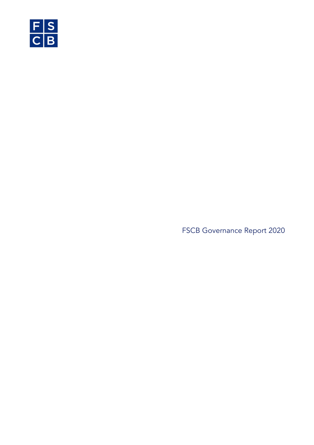

FSCB Governance Report 2020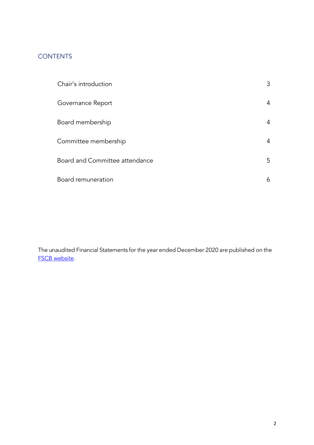### **CONTENTS**

| Chair's introduction           | 3 |
|--------------------------------|---|
| Governance Report              | 4 |
| Board membership               | 4 |
| Committee membership           | 4 |
| Board and Committee attendance | 5 |
| Board remuneration             | 6 |

The unaudited Financial Statements for the year ended December 2020 are published on the FSCB website.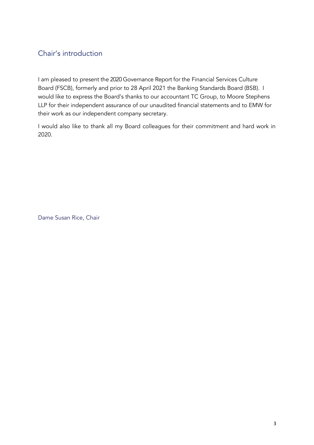## Chair's introduction

I am pleased to present the 2020 Governance Report for the Financial Services Culture Board (FSCB), formerly and prior to 28 April 2021 the Banking Standards Board (BSB). I would like to express the Board's thanks to our accountant TC Group, to Moore Stephens LLP for their independent assurance of our unaudited financial statements and to EMW for their work as our independent company secretary.

I would also like to thank all my Board colleagues for their commitment and hard work in 2020.

Dame Susan Rice, Chair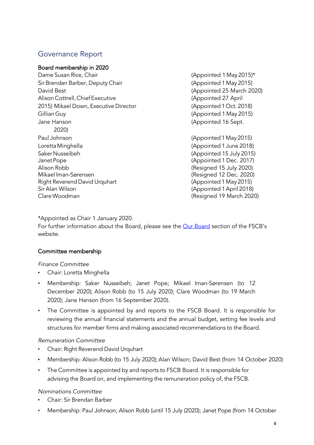### Governance Report

Board membership in 2020 Dame Susan Rice, Chair (Appointed 1 May 2015)\* Sir Brendan Barber, Deputy Chair (Appointed 1 May 2015) David Best (Appointed 25 March 2020) Alison Cottrell, Chief Executive (Appointed 27 April 2015) Mikael Down, Executive Director (Appointed1 Oct. 2018) Gillian Guy (Appointed 1 May 2015) Jane Hanson (Appointed 16 Sept. 2020) Paul Johnson (Appointed1 May 2015) LorettaMinghella (Appointed 1 June 2018) SakerNusseibeh (Appointed 15 July 2015) JanetPope (Appointed 1 Dec. 2017) Alison Robb (Resigned 15 July 2020) Mikael Iman-Sørensen (Resigned 12 Dec. 2020) Right Reverend David Urquhart (Appointed 1 May 2015) Sir Alan Wilson (Appointed 1April 2018) ClareWoodman (Resigned 19 March 2020)

\*Appointed as Chair 1 January 2020.

For further information about the Board, please see the Our Board section of the FSCB's website.

#### Committee membership

*Finance Committee*

- Chair: Loretta Minghella
- Membership: Saker Nusseibeh; Janet Pope; Mikael Iman-Sørensen (to 12 December 2020); Alison Robb (to 15 July 2020); Clare Woodman (to 19 March 2020); Jane Hanson (from 16 September 2020).
- The Committee is appointed by and reports to the FSCB Board. It is responsible for reviewing the annual financial statements and the annual budget, setting fee levels and structures for member firms and making associated recommendations to the Board.

#### *Remuneration Committee*

- Chair: Right Reverend David Urquhart
- Membership: Alison Robb (to 15 July 2020); Alan Wilson; David Best (from 14 October 2020)
- The Committee is appointed by and reports to FSCB Board. It is responsible for advising the Board on, and implementing the remuneration policy of, the FSCB.

#### *Nominations Committee*

- Chair: Sir Brendan Barber
- Membership: Paul Johnson; Alison Robb (until 15 July (2020); Janet Pope (from 14 October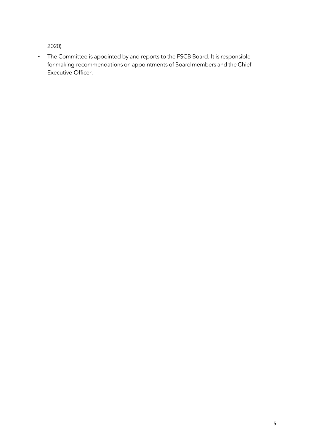2020)

• The Committee is appointed by and reports to the FSCB Board. It is responsible for making recommendations on appointments of Board members and the Chief Executive Officer.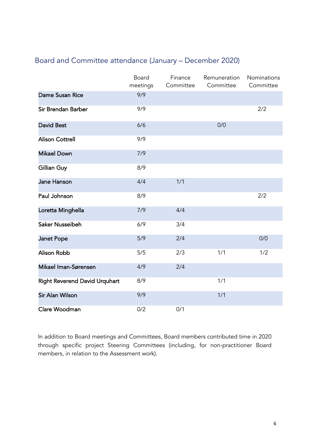## Board and Committee attendance (January – December 2020)

|                                      | Board<br>meetings | Finance<br>Committee | Remuneration<br>Committee | Nominations<br>Committee |
|--------------------------------------|-------------------|----------------------|---------------------------|--------------------------|
| <b>Dame Susan Rice</b>               | 9/9               |                      |                           |                          |
| Sir Brendan Barber                   | 9/9               |                      |                           | 2/2                      |
| <b>David Best</b>                    | 6/6               |                      | 0/0                       |                          |
| <b>Alison Cottrell</b>               | 9/9               |                      |                           |                          |
| <b>Mikael Down</b>                   | 7/9               |                      |                           |                          |
| Gillian Guy                          | 8/9               |                      |                           |                          |
| Jane Hanson                          | 4/4               | 1/1                  |                           |                          |
| Paul Johnson                         | 8/9               |                      |                           | 2/2                      |
| Loretta Minghella                    | 7/9               | 4/4                  |                           |                          |
| <b>Saker Nusseibeh</b>               | 6/9               | 3/4                  |                           |                          |
| <b>Janet Pope</b>                    | 5/9               | 2/4                  |                           | 0/0                      |
| <b>Alison Robb</b>                   | 5/5               | 2/3                  | 1/1                       | 1/2                      |
| Mikael Iman-Sørensen                 | 4/9               | 2/4                  |                           |                          |
| <b>Right Reverend David Urquhart</b> | 8/9               |                      | 1/1                       |                          |
| <b>Sir Alan Wilson</b>               | 9/9               |                      | 1/1                       |                          |
| Clare Woodman                        | 0/2               | 0/1                  |                           |                          |

In addition to Board meetings and Committees, Board members contributed time in 2020 through specific project Steering Committees (including, for non-practitioner Board members, in relation to the Assessment work).